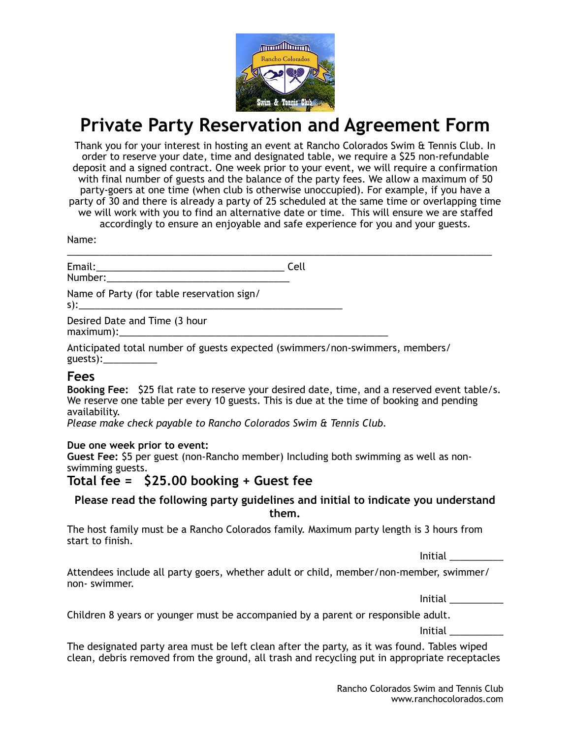

# **Private Party Reservation and Agreement Form**

Thank you for your interest in hosting an event at Rancho Colorados Swim & Tennis Club. In order to reserve your date, time and designated table, we require a \$25 non-refundable deposit and a signed contract. One week prior to your event, we will require a confirmation with final number of guests and the balance of the party fees. We allow a maximum of 50 party-goers at one time (when club is otherwise unoccupied). For example, if you have a party of 30 and there is already a party of 25 scheduled at the same time or overlapping time we will work with you to find an alternative date or time. This will ensure we are staffed accordingly to ensure an enjoyable and safe experience for you and your guests.

\_\_\_\_\_\_\_\_\_\_\_\_\_\_\_\_\_\_\_\_\_\_\_\_\_\_\_\_\_\_\_\_\_\_\_\_\_\_\_\_\_\_\_\_\_\_\_\_\_\_\_\_\_\_\_\_\_\_\_\_\_\_\_\_\_\_\_\_\_\_\_\_\_\_\_\_\_\_\_

Name:

Email:\_\_\_\_\_\_\_\_\_\_\_\_\_\_\_\_\_\_\_\_\_\_\_\_\_\_\_\_\_\_\_\_\_\_\_ Cell

Number:

Name of Party (for table reservation sign/ s):\_\_\_\_\_\_\_\_\_\_\_\_\_\_\_\_\_\_\_\_\_\_\_\_\_\_\_\_\_\_\_\_\_\_\_\_\_\_\_\_\_\_\_\_\_\_\_\_\_

Desired Date and Time (3 hour  $maximum$ ):

Anticipated total number of guests expected (swimmers/non-swimmers, members/ guests $):$ 

## **Fees**

**Booking Fee:** \$25 flat rate to reserve your desired date, time, and a reserved event table/s. We reserve one table per every 10 guests. This is due at the time of booking and pending availability.

*Please make check payable to Rancho Colorados Swim & Tennis Club.* 

#### **Due one week prior to event:**

**Guest Fee:** \$5 per guest (non-Rancho member) Including both swimming as well as nonswimming guests.

# **Total fee = \$25.00 booking + Guest fee**

## **Please read the following party guidelines and initial to indicate you understand them.**

The host family must be a Rancho Colorados family. Maximum party length is 3 hours from start to finish.

Initial \_\_\_\_\_\_\_\_\_\_

Attendees include all party goers, whether adult or child, member/non-member, swimmer/ non- swimmer.

Initial \_\_\_\_\_\_\_\_\_\_

Children 8 years or younger must be accompanied by a parent or responsible adult.

Initial \_\_\_\_\_\_\_\_\_\_

The designated party area must be left clean after the party, as it was found. Tables wiped clean, debris removed from the ground, all trash and recycling put in appropriate receptacles